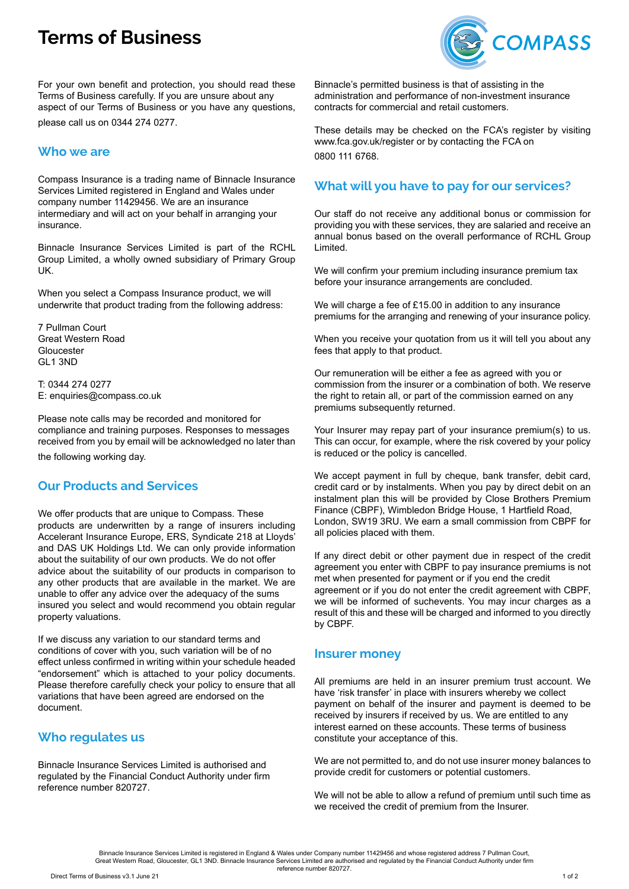# **Terms of Business**



For your own benefit and protection, you should read these Terms of Business carefully. If you are unsure about any aspect of our Terms of Business or you have any questions, please call us on 0344 274 0277.

## **Who we are**

Compass Insurance is a trading name of Binnacle Insurance Services Limited registered in England and Wales under company number 11429456. We are an insurance intermediary and will act on your behalf in arranging your insurance.

Binnacle Insurance Services Limited is part of the RCHL Group Limited, a wholly owned subsidiary of Primary Group UK.

When you select a Compass Insurance product, we will underwrite that product trading from the following address:

7 Pullman Court Great Western Road Gloucester GL1 3ND

T: 0344 274 0277 E: enquiries@compass.co.uk

Please note calls may be recorded and monitored for compliance and training purposes. Responses to messages received from you by email will be acknowledged no later than the following working day.

#### **Our Products and Services**

We offer products that are unique to Compass. These products are underwritten by a range of insurers including Accelerant Insurance Europe, ERS, Syndicate 218 at Lloyds' and DAS UK Holdings Ltd. We can only provide information about the suitability of our own products. We do not offer advice about the suitability of our products in comparison to any other products that are available in the market. We are unable to offer any advice over the adequacy of the sums insured you select and would recommend you obtain regular property valuations.

If we discuss any variation to our standard terms and conditions of cover with you, such variation will be of no effect unless confirmed in writing within your schedule headed "endorsement" which is attached to your policy documents. Please therefore carefully check your policy to ensure that all variations that have been agreed are endorsed on the document.

#### **Who regulates us**

Binnacle Insurance Services Limited is authorised and regulated by the Financial Conduct Authority under firm reference number 820727.

Binnacle's permitted business is that of assisting in the administration and performance of non-investment insurance contracts for commercial and retail customers.

These details may be checked on the FCA's register by visiting www.fca.gov.uk/register or by contacting the FCA on 0800 111 6768.

## **What will you have to pay for our services?**

Our staff do not receive any additional bonus or commission for providing you with these services, they are salaried and receive an annual bonus based on the overall performance of RCHL Group Limited.

We will confirm your premium including insurance premium tax before your insurance arrangements are concluded.

We will charge a fee of £15.00 in addition to any insurance premiums for the arranging and renewing of your insurance policy.

When you receive your quotation from us it will tell you about any fees that apply to that product.

Our remuneration will be either a fee as agreed with you or commission from the insurer or a combination of both. We reserve the right to retain all, or part of the commission earned on any premiums subsequently returned.

Your Insurer may repay part of your insurance premium(s) to us. This can occur, for example, where the risk covered by your policy is reduced or the policy is cancelled.

We accept payment in full by cheque, bank transfer, debit card, credit card or by instalments. When you pay by direct debit on an instalment plan this will be provided by Close Brothers Premium Finance (CBPF), Wimbledon Bridge House, 1 Hartfield Road, London, SW19 3RU. We earn a small commission from CBPF for all policies placed with them.

If any direct debit or other payment due in respect of the credit agreement you enter with CBPF to pay insurance premiums is not met when presented for payment or if you end the credit agreement or if you do not enter the credit agreement with CBPF, we will be informed of suchevents. You may incur charges as a result of this and these will be charged and informed to you directly by CBPF.

#### **Insurer money**

All premiums are held in an insurer premium trust account. We have 'risk transfer' in place with insurers whereby we collect payment on behalf of the insurer and payment is deemed to be received by insurers if received by us. We are entitled to any interest earned on these accounts. These terms of business constitute your acceptance of this.

We are not permitted to, and do not use insurer money balances to provide credit for customers or potential customers.

We will not be able to allow a refund of premium until such time as we received the credit of premium from the Insurer.

le Insurance Services Limited is registered in England & Wales under Company number 11429456 and whose registered address 7 Pullman Court, Great Western Road, Gloucester, GL1 3ND. Binnacle Insurance Services Limited are authorised and regulated by the Financial Conduct Authority under firm